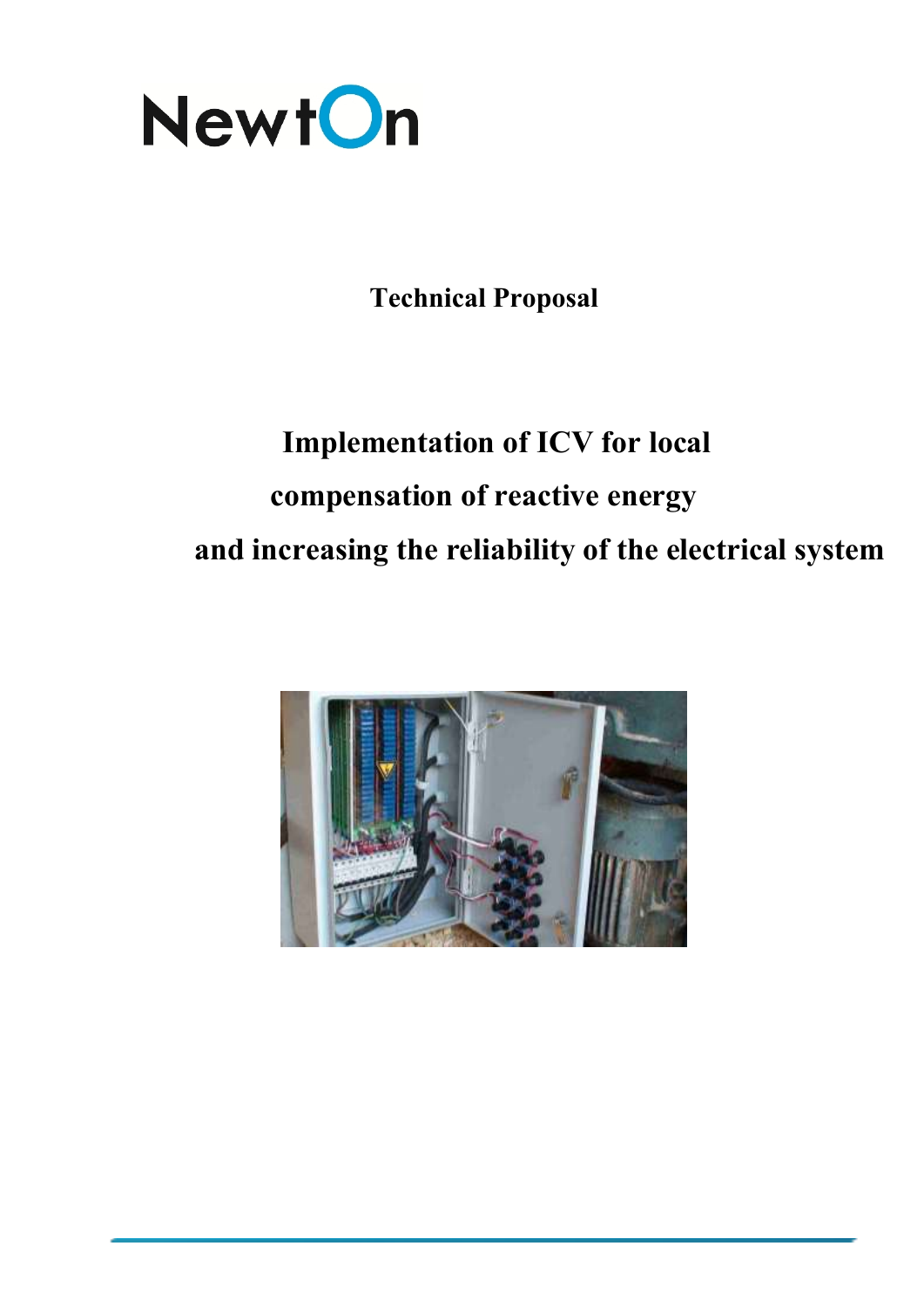

**Technical Proposal**

# **Implementation of ICV for local compensation of reactive energy and increasing the reliability of the electrical system**

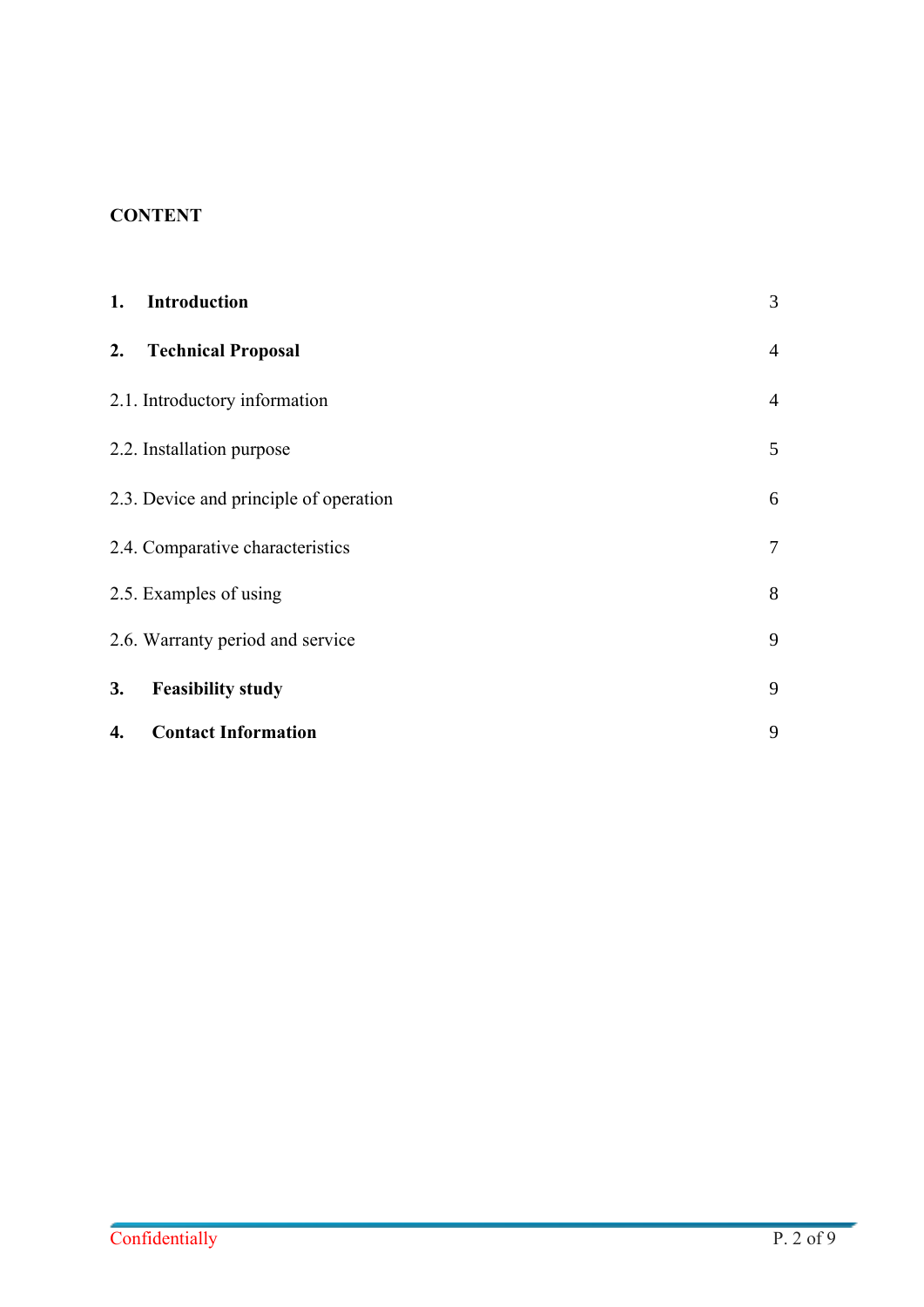# **CONTENT**

| 1. | <b>Introduction</b>                    | 3              |
|----|----------------------------------------|----------------|
| 2. | <b>Technical Proposal</b>              | $\overline{4}$ |
|    | 2.1. Introductory information          | $\overline{4}$ |
|    | 2.2. Installation purpose              | 5              |
|    | 2.3. Device and principle of operation | 6              |
|    | 2.4. Comparative characteristics       | $\tau$         |
|    | 2.5. Examples of using                 | 8              |
|    | 2.6. Warranty period and service       | 9              |
| 3. | <b>Feasibility study</b>               | 9              |
| 4. | <b>Contact Information</b>             | 9              |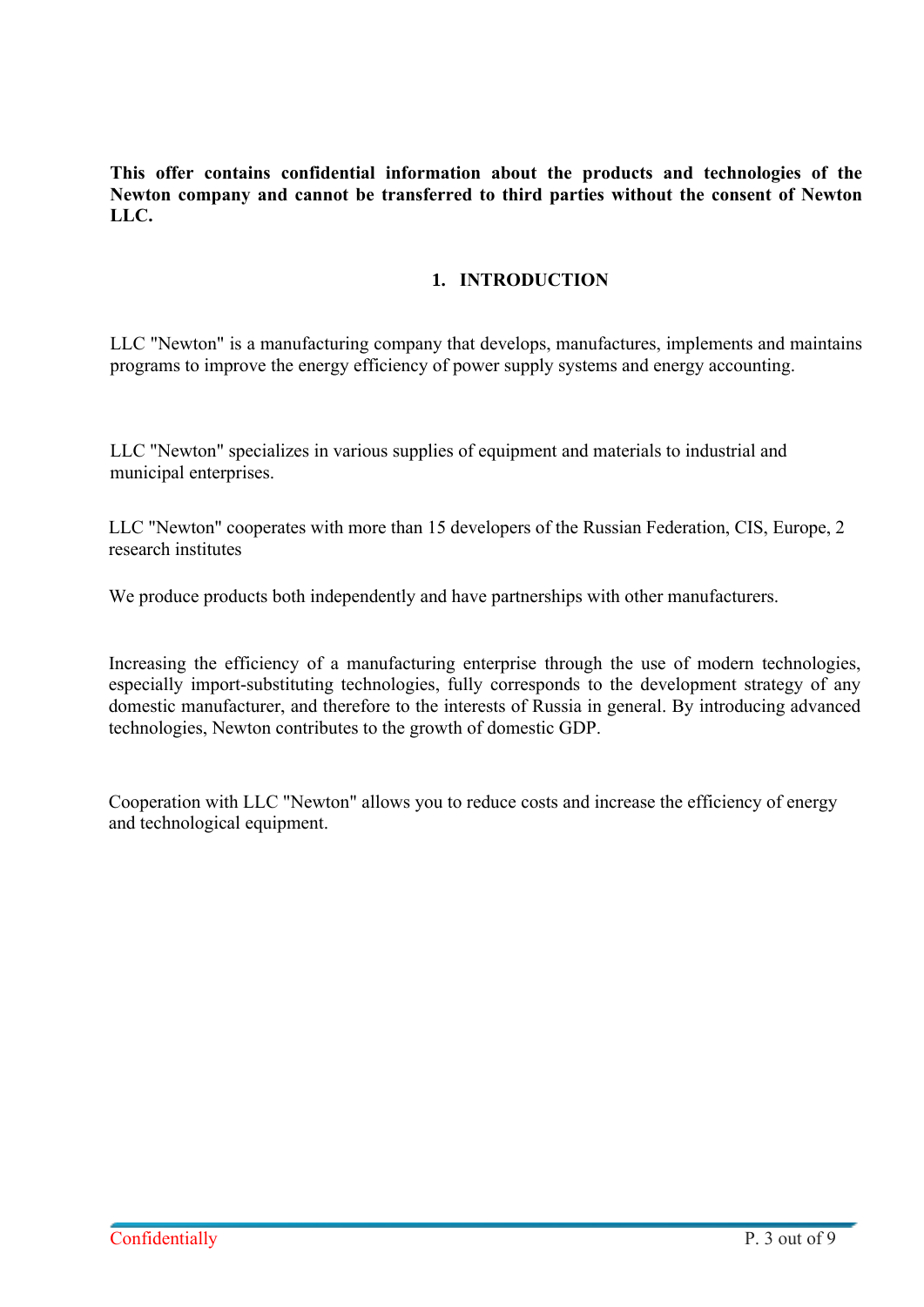**This offer contains confidential information about the products and technologies of the Newton company and cannot be transferred to third parties without the consent of Newton LLC.**

## **1. INTRODUCTION**

LLC "Newton" is a manufacturing company that develops, manufactures, implements and maintains programs to improve the energy efficiency of power supply systems and energy accounting.

LLC "Newton" specializes in various supplies of equipment and materials to industrial and municipal enterprises.

LLC "Newton" cooperates with more than 15 developers of the Russian Federation, CIS, Europe, 2 research institutes

We produce products both independently and have partnerships with other manufacturers.

Increasing the efficiency of a manufacturing enterprise through the use of modern technologies, especially import-substituting technologies, fully corresponds to the development strategy of any domestic manufacturer, and therefore to the interests of Russia in general. By introducing advanced technologies, Newton contributes to the growth of domestic GDP.

Cooperation with LLC "Newton" allows you to reduce costs and increase the efficiency of energy and technological equipment.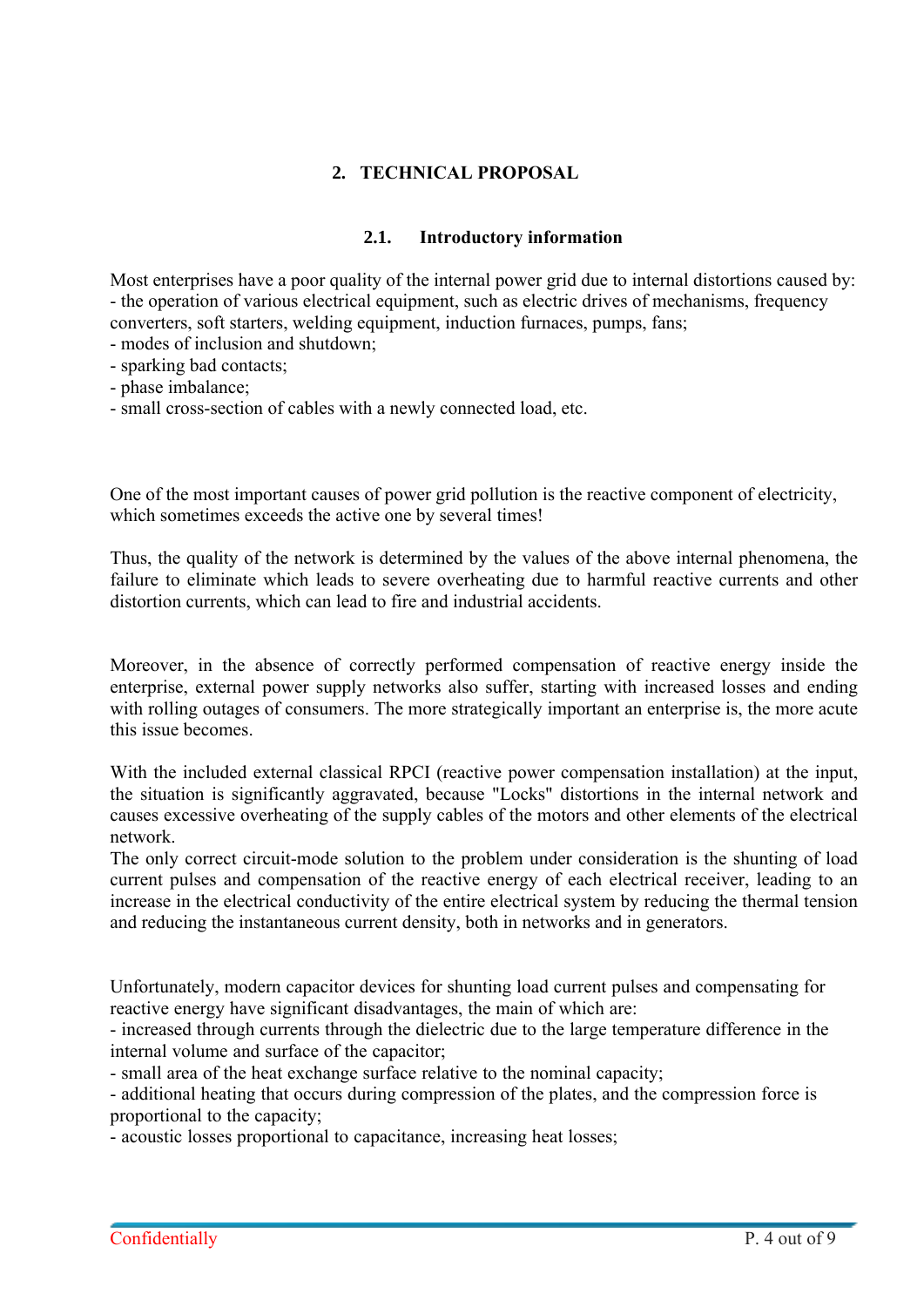# **2. TECHNICAL PROPOSAL**

### **2.1. Introductory information**

Most enterprises have a poor quality of the internal power grid due to internal distortions caused by: - the operation of various electrical equipment, such as electric drives of mechanisms, frequency converters, soft starters, welding equipment, induction furnaces, pumps, fans;

- modes of inclusion and shutdown;
- sparking bad contacts;
- phase imbalance;
- small cross-section of cables with a newly connected load, etc.

One of the most important causes of power grid pollution is the reactive component of electricity, which sometimes exceeds the active one by several times!

Thus, the quality of the network is determined by the values of the above internal phenomena, the failure to eliminate which leads to severe overheating due to harmful reactive currents and other distortion currents, which can lead to fire and industrial accidents.

Moreover, in the absence of correctly performed compensation of reactive energy inside the enterprise, external power supply networks also suffer, starting with increased losses and ending with rolling outages of consumers. The more strategically important an enterprise is, the more acute this issue becomes.

With the included external classical RPCI (reactive power compensation installation) at the input, the situation is significantly aggravated, because "Locks" distortions in the internal network and causes excessive overheating of the supply cables of the motors and other elements of the electrical network.

The only correct circuit-mode solution to the problem under consideration is the shunting of load current pulses and compensation of the reactive energy of each electrical receiver, leading to an increase in the electrical conductivity of the entire electrical system by reducing the thermal tension and reducing the instantaneous current density, both in networks and in generators.

Unfortunately, modern capacitor devices for shunting load current pulses and compensating for reactive energy have significant disadvantages, the main of which are:

- increased through currents through the dielectric due to the large temperature difference in the internal volume and surface of the capacitor;

- small area of the heat exchange surface relative to the nominal capacity;

- additional heating that occurs during compression of the plates, and the compression force is proportional to the capacity;

- acoustic losses proportional to capacitance, increasing heat losses;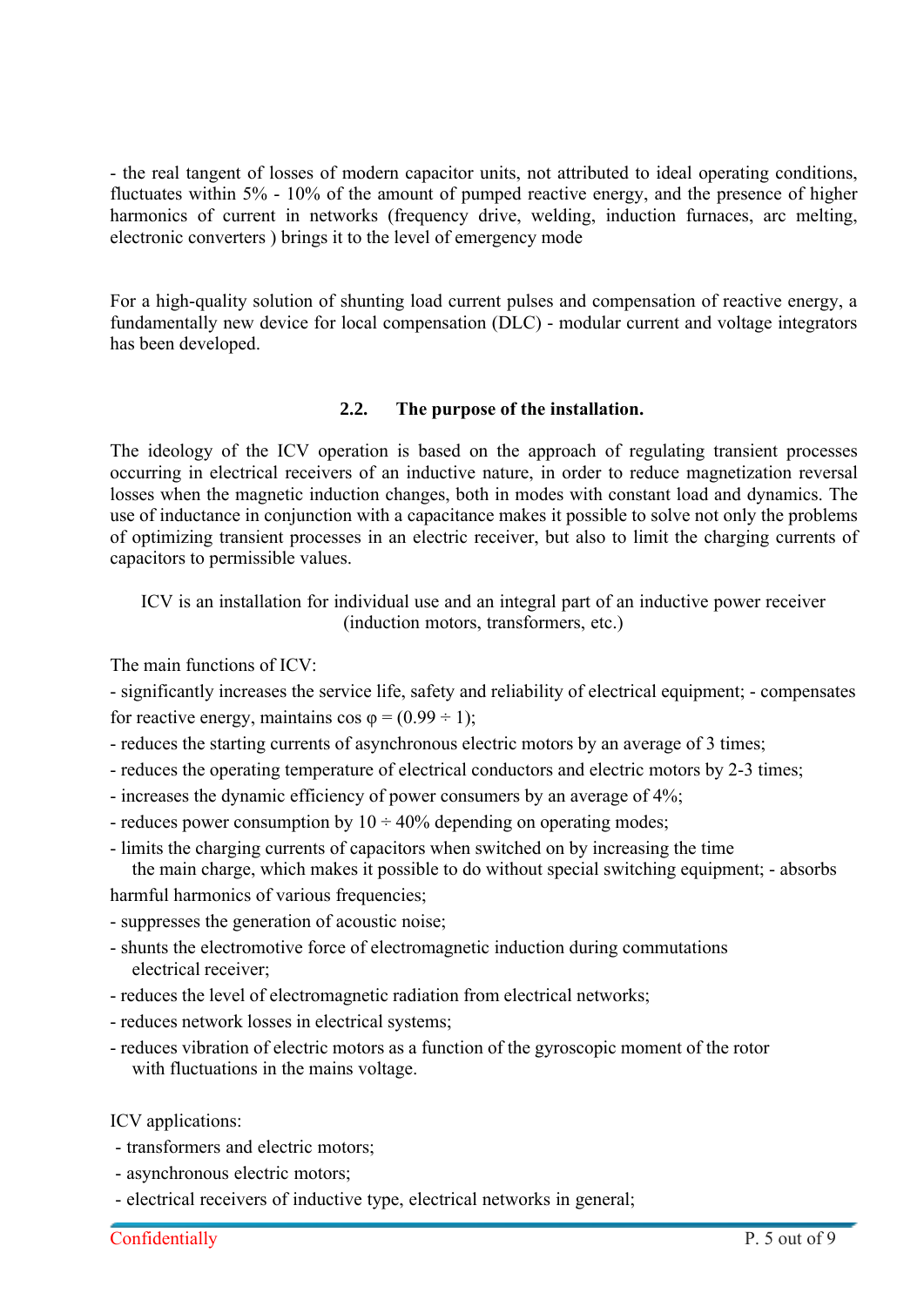- the real tangent of losses of modern capacitor units, not attributed to ideal operating conditions, fluctuates within 5% - 10% of the amount of pumped reactive energy, and the presence of higher harmonics of current in networks (frequency drive, welding, induction furnaces, arc melting, electronic converters ) brings it to the level of emergency mode

For a high-quality solution of shunting load current pulses and compensation of reactive energy, a fundamentally new device for local compensation (DLC) - modular current and voltage integrators has been developed.

#### **2.2. The purpose of the installation.**

The ideology of the ICV operation is based on the approach of regulating transient processes occurring in electrical receivers of an inductive nature, in order to reduce magnetization reversal losses when the magnetic induction changes, both in modes with constant load and dynamics. The use of inductance in conjunction with a capacitance makes it possible to solve not only the problems of optimizing transient processes in an electric receiver, but also to limit the charging currents of capacitors to permissible values.

ICV is an installation for individual use and an integral part of an inductive power receiver (induction motors, transformers, etc.)

The main functions of ICV:

- significantly increases the service life, safety and reliability of electrical equipment; - compensates for reactive energy, maintains  $\cos \varphi = (0.99 \div 1);$ 

- reduces the starting currents of asynchronous electric motors by an average of 3 times;
- reduces the operating temperature of electrical conductors and electric motors by 2-3 times;
- increases the dynamic efficiency of power consumers by an average of 4%;
- reduces power consumption by  $10 \div 40\%$  depending on operating modes;
- limits the charging currents of capacitors when switched on by increasing the time the main charge, which makes it possible to do without special switching equipment; - absorbs

harmful harmonics of various frequencies;

- suppresses the generation of acoustic noise;
- shunts the electromotive force of electromagnetic induction during commutations electrical receiver;
- reduces the level of electromagnetic radiation from electrical networks;
- reduces network losses in electrical systems;
- reduces vibration of electric motors as a function of the gyroscopic moment of the rotor with fluctuations in the mains voltage.

ICV applications:

- transformers and electric motors;
- asynchronous electric motors;
- electrical receivers of inductive type, electrical networks in general;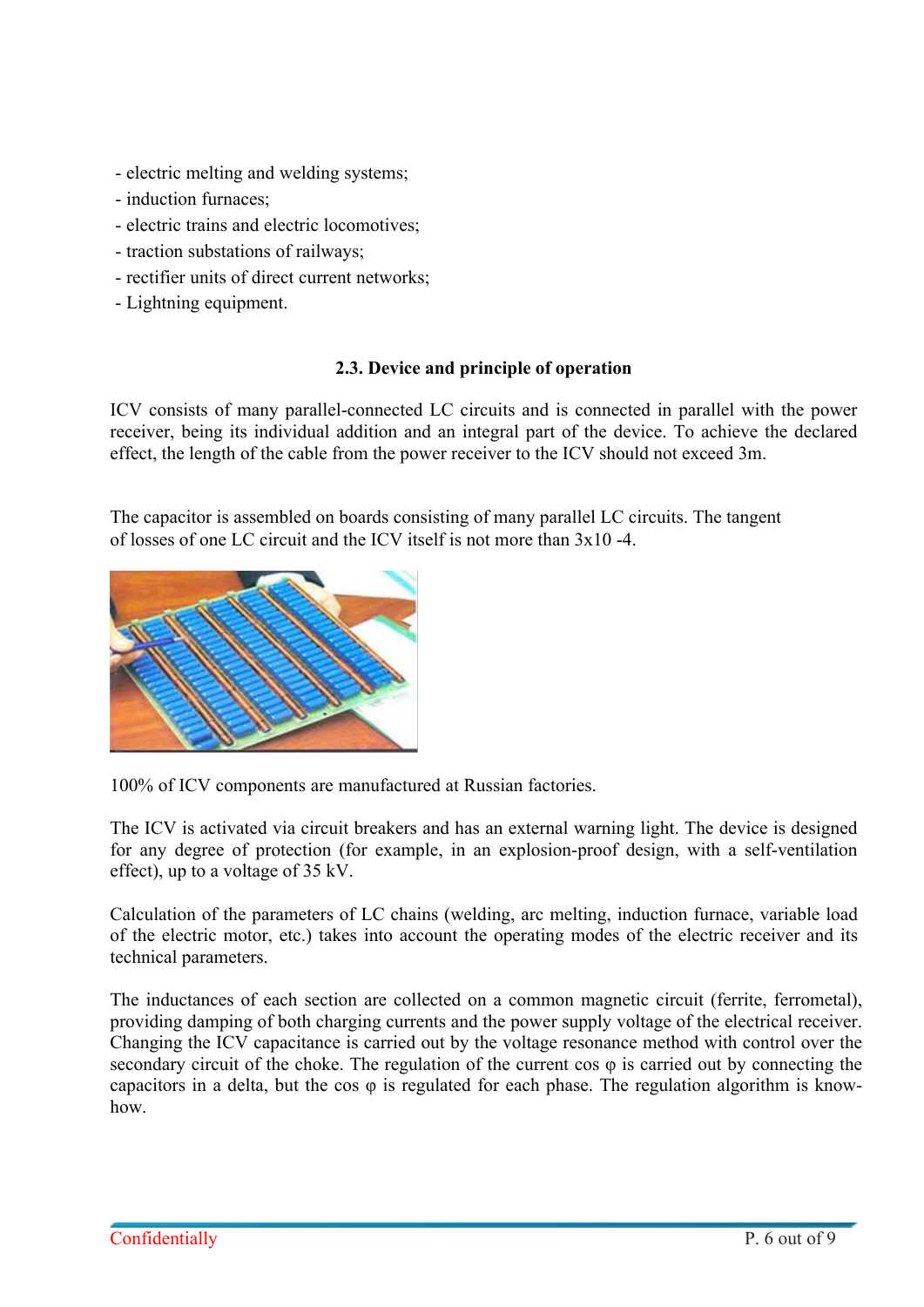- electric melting and welding systems;
- induction furnaces;
- electric trains and electric locomotives;
- traction substations of railways;
- rectifier units of direct current networks;
- Lightning equipment.

#### **2.3. Device and principle of operation**

ICV consists of many parallel-connected LC circuits and is connected in parallel with the power receiver, being its individual addition and an integral part of the device. To achieve the declared effect, the length of the cable from the power receiver to the ICV should not exceed 3m.

The capacitor is assembled on boards consisting of many parallel LC circuits. The tangent of losses of one LC circuit and the ICV itself is not more than 3x10 -4.



100% of ICV components are manufactured at Russian factories.

The ICV is activated via circuit breakers and has an external warning light. The device is designed for any degree of protection (for example, in an explosion-proof design, with a self-ventilation effect), up to a voltage of 35 kV.

Calculation of the parameters of LC chains (welding, arc melting, induction furnace, variable load of the electric motor, etc.) takes into account the operating modes of the electric receiver and its technical parameters.

The inductances of each section are collected on a common magnetic circuit (ferrite, ferrometal), providing damping of both charging currents and the power supply voltage of the electrical receiver. Changing the ICV capacitance is carried out by the voltage resonance method with control over the secondary circuit of the choke. The regulation of the current cos  $\varphi$  is carried out by connecting the capacitors in a delta, but the cos φ is regulated for each phase. The regulation algorithm is knowhow.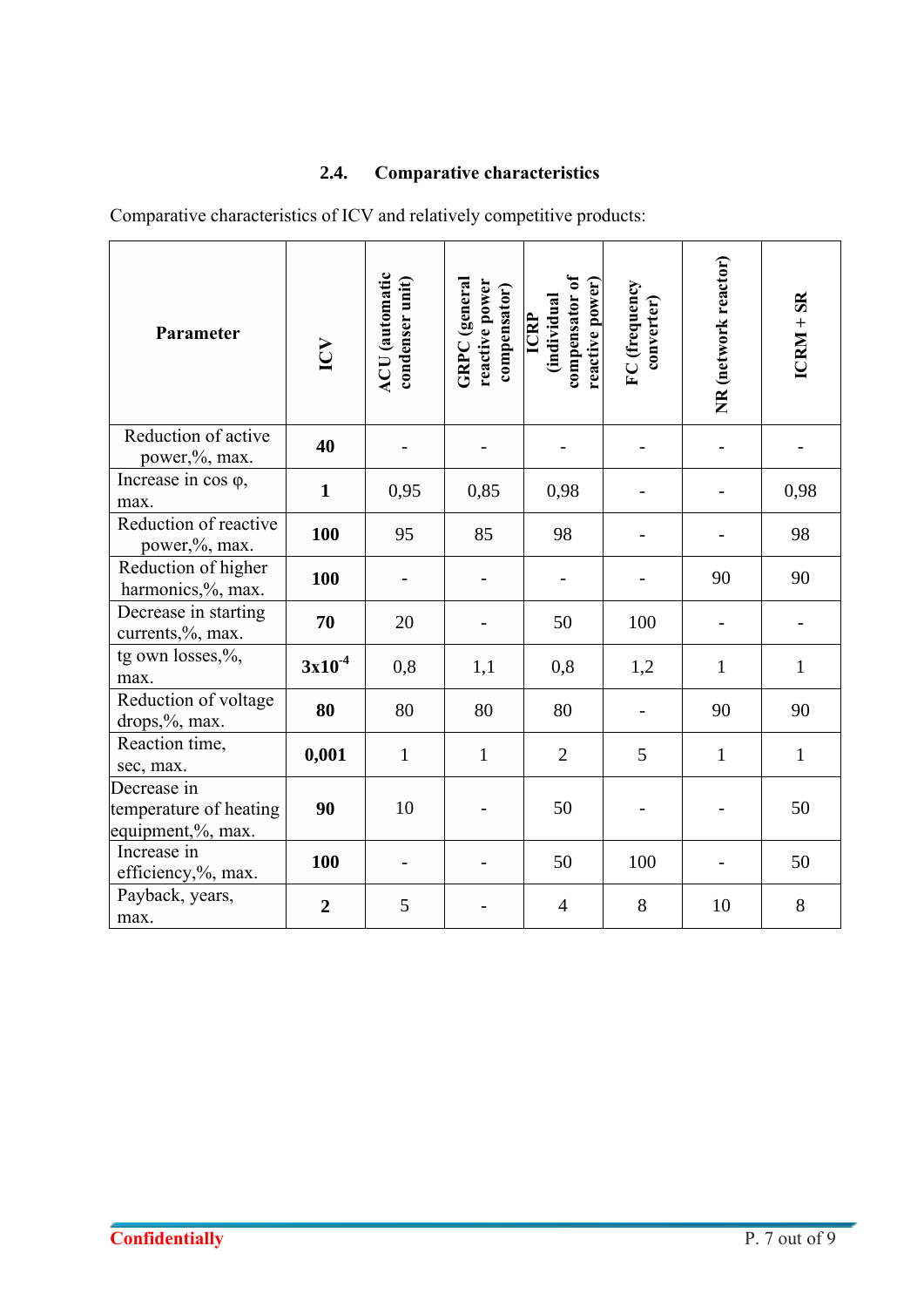# **2.4. Comparative characteristics**

Comparative characteristics of ICV and relatively competitive products:

| Parameter                                                  | $\sum$         | <b>ACU</b> (automatic<br>condenser unit) | GRPC (general<br>reactive power<br>compensator) | compensator of<br>reactive power)<br><i><b>individual</b></i><br>ICRP | FC (frequency<br>converter) | NR (network reactor)     | $ICRM + SR$  |
|------------------------------------------------------------|----------------|------------------------------------------|-------------------------------------------------|-----------------------------------------------------------------------|-----------------------------|--------------------------|--------------|
| Reduction of active<br>power,%, max.                       | 40             |                                          |                                                 |                                                                       | $\overline{a}$              | $\overline{\phantom{0}}$ |              |
| Increase in $cos \varphi$ ,<br>max.                        | $\mathbf{1}$   | 0,95                                     | 0,85                                            | 0,98                                                                  |                             |                          | 0,98         |
| Reduction of reactive<br>power,%, max.                     | 100            | 95                                       | 85                                              | 98                                                                    |                             |                          | 98           |
| Reduction of higher<br>harmonics,%, max.                   | 100            |                                          |                                                 |                                                                       |                             | 90                       | 90           |
| Decrease in starting<br>currents,%, max.                   | 70             | 20                                       |                                                 | 50                                                                    | 100                         |                          |              |
| tg own losses,%,<br>max.                                   | $3x10^{-4}$    | 0,8                                      | 1,1                                             | 0,8                                                                   | 1,2                         | $\mathbf{1}$             | $\mathbf{1}$ |
| Reduction of voltage<br>drops,%, max.                      | 80             | 80                                       | 80                                              | 80                                                                    |                             | 90                       | 90           |
| Reaction time,<br>sec, max.                                | 0,001          | $\mathbf{1}$                             | $\mathbf{1}$                                    | $\overline{2}$                                                        | 5                           | $\mathbf{1}$             | $\mathbf{1}$ |
| Decrease in<br>temperature of heating<br>equipment,%, max. | 90             | 10                                       |                                                 | 50                                                                    | $\overline{a}$              |                          | 50           |
| Increase in<br>efficiency,%, max.                          | 100            |                                          |                                                 | 50                                                                    | 100                         |                          | 50           |
| Payback, years,<br>max.                                    | $\overline{2}$ | 5                                        |                                                 | $\overline{4}$                                                        | 8                           | 10                       | 8            |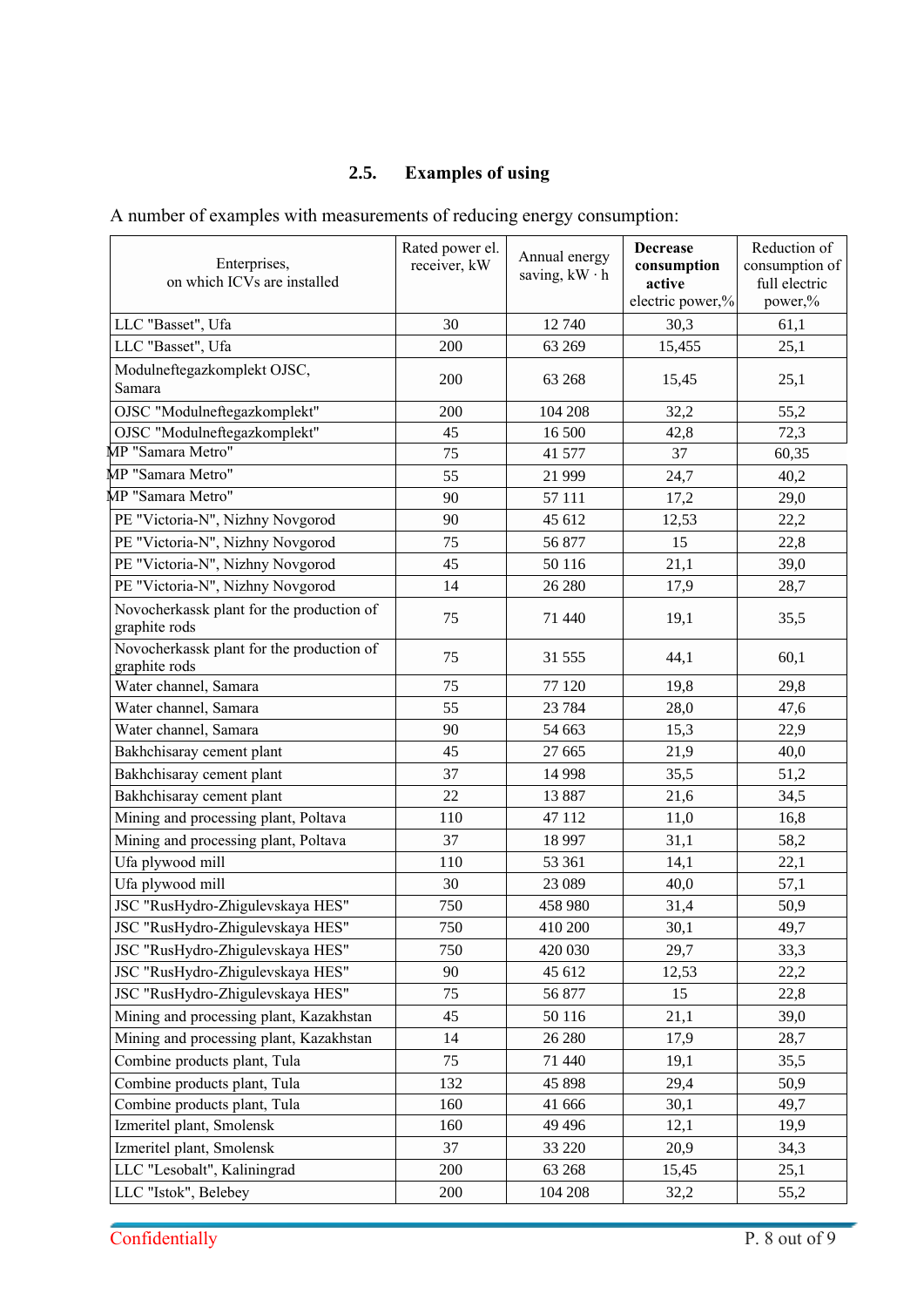# **2.5. Examples of using**

A number of examples with measurements of reducing energy consumption:

| Enterprises,<br>on which ICVs are installed                | Rated power el.<br>receiver, kW | Annual energy<br>saving, $kW \cdot h$ | <b>Decrease</b><br>consumption<br>active | Reduction of<br>consumption of<br>full electric |
|------------------------------------------------------------|---------------------------------|---------------------------------------|------------------------------------------|-------------------------------------------------|
|                                                            |                                 |                                       | electric power,%                         | power,%                                         |
| LLC "Basset", Ufa                                          | 30                              | 12 740                                | 30,3                                     | 61,1                                            |
| LLC "Basset", Ufa                                          | 200                             | 63 269                                | 15,455                                   | 25,1                                            |
| Modulneftegazkomplekt OJSC,<br>Samara                      | 200                             | 63 268                                | 15,45                                    | 25,1                                            |
| OJSC "Modulneftegazkomplekt"                               | 200                             | 104 208                               | 32,2                                     | 55,2                                            |
| OJSC "Modulneftegazkomplekt"                               | 45                              | 16 500                                | 42,8                                     | 72,3                                            |
| MP "Samara Metro"                                          | 75                              | 41 577                                | 37                                       | 60,35                                           |
| MP "Samara Metro"                                          | 55                              | 21 999                                | 24,7                                     | 40,2                                            |
| MP "Samara Metro"                                          | 90                              | 57 111                                | 17,2                                     | 29,0                                            |
| PE "Victoria-N", Nizhny Novgorod                           | 90                              | 45 612                                | 12,53                                    | 22,2                                            |
| PE "Victoria-N", Nizhny Novgorod                           | 75                              | 56 877                                | 15                                       | 22,8                                            |
| PE "Victoria-N", Nizhny Novgorod                           | 45                              | 50 116                                | 21,1                                     | 39,0                                            |
| PE "Victoria-N", Nizhny Novgorod                           | 14                              | 26 280                                | 17,9                                     | 28,7                                            |
| Novocherkassk plant for the production of<br>graphite rods | 75                              | 71 440                                | 19,1                                     | 35,5                                            |
| Novocherkassk plant for the production of<br>graphite rods | 75                              | 31 555                                | 44,1                                     | 60,1                                            |
| Water channel, Samara                                      | 75                              | 77 120                                | 19,8                                     | 29,8                                            |
| Water channel, Samara                                      | 55                              | 23 784                                | 28,0                                     | 47,6                                            |
| Water channel, Samara                                      | 90                              | 54 663                                | 15,3                                     | 22,9                                            |
| Bakhchisaray cement plant                                  | 45                              | 27 665                                | 21,9                                     | 40,0                                            |
| Bakhchisaray cement plant                                  | 37                              | 14 9 98                               | 35,5                                     | 51,2                                            |
| Bakhchisaray cement plant                                  | 22                              | 13 887                                | 21,6                                     | 34,5                                            |
| Mining and processing plant, Poltava                       | 110                             | 47 112                                | 11,0                                     | 16,8                                            |
| Mining and processing plant, Poltava                       | 37                              | 18 9 97                               | 31,1                                     | 58,2                                            |
| Ufa plywood mill                                           | 110                             | 53 361                                | 14,1                                     | 22,1                                            |
| Ufa plywood mill                                           | 30                              | 23 089                                | 40,0                                     | 57,1                                            |
| JSC "RusHydro-Zhigulevskaya HES"                           | 750                             | 458 980                               | 31,4                                     | 50,9                                            |
| JSC "RusHydro-Zhigulevskaya HES"                           | 750                             | 410 200                               | 30,1                                     | 49,7                                            |
| JSC "RusHydro-Zhigulevskaya HES"                           | 750                             | 420 030                               | 29,7                                     | 33,3                                            |
| JSC "RusHydro-Zhigulevskaya HES"                           | 90                              | 45 612                                | 12,53                                    | 22,2                                            |
| JSC "RusHydro-Zhigulevskaya HES"                           | 75                              | 56 877                                | 15                                       | 22,8                                            |
| Mining and processing plant, Kazakhstan                    | 45                              | 50 116                                | 21,1                                     | 39,0                                            |
| Mining and processing plant, Kazakhstan                    | 14                              | 26 280                                | 17,9                                     | 28,7                                            |
| Combine products plant, Tula                               | 75                              | 71 440                                | 19,1                                     | 35,5                                            |
| Combine products plant, Tula                               | 132                             | 45 898                                | 29,4                                     | 50,9                                            |
| Combine products plant, Tula                               | 160                             | 41 666                                | 30,1                                     | 49,7                                            |
| Izmeritel plant, Smolensk                                  | 160                             | 49 4 9 6                              | 12,1                                     | 19,9                                            |
| Izmeritel plant, Smolensk                                  | 37                              | 33 220                                | 20,9                                     | 34,3                                            |
| LLC "Lesobalt", Kaliningrad                                | 200                             | 63 268                                | 15,45                                    | 25,1                                            |
| LLC "Istok", Belebey                                       | 200                             | 104 208                               | 32,2                                     | 55,2                                            |